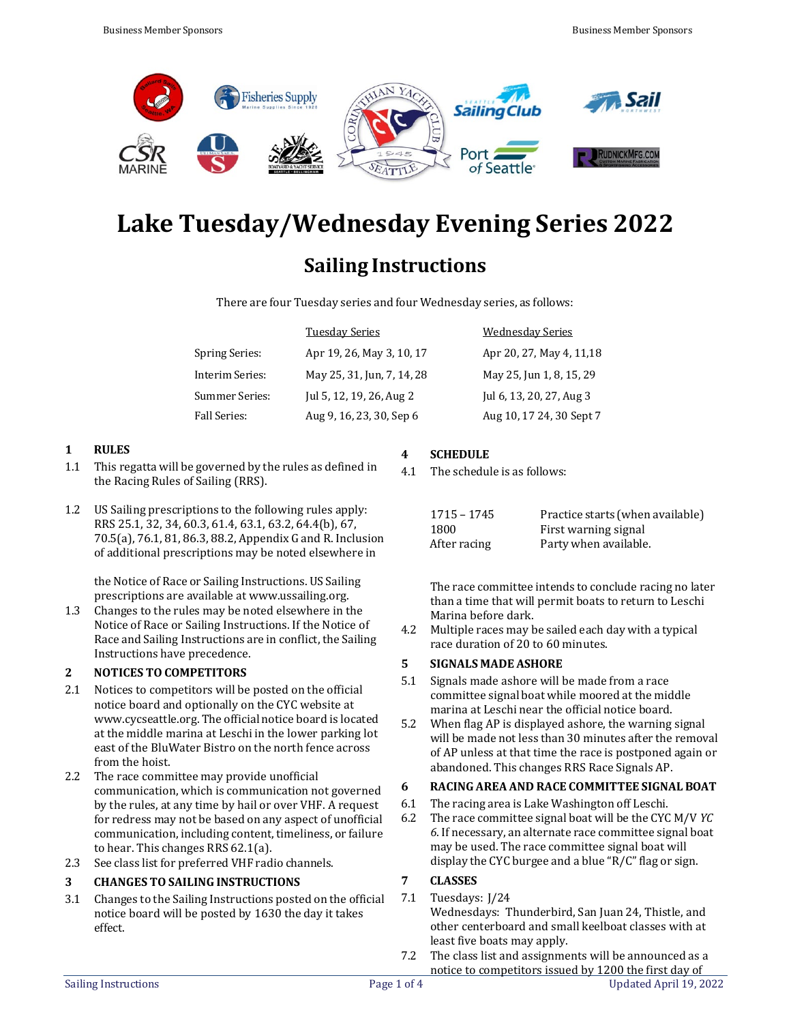

# **Lake Tuesday/Wednesday Evening Series 2022**

# **Sailing Instructions**

There are four Tuesday series and four Wednesday series, as follows:

|                       | <b>Tuesday Series</b>      | <b>Wednesday Series</b>   |
|-----------------------|----------------------------|---------------------------|
| <b>Spring Series:</b> | Apr 19, 26, May 3, 10, 17  | Apr 20, 27, May 4, 11, 18 |
| Interim Series:       | May 25, 31, Jun, 7, 14, 28 | May 25, Jun 1, 8, 15, 29  |
| Summer Series:        | Jul 5, 12, 19, 26, Aug 2   | Jul 6, 13, 20, 27, Aug 3  |
| <b>Fall Series:</b>   | Aug 9, 16, 23, 30, Sep 6   | Aug 10, 17 24, 30 Sept 7  |

# **1 RULES**

- 1.1 This regatta will be governed by the rules as defined in the Racing Rules of Sailing (RRS).
- 1.2 US Sailing prescriptions to the following rules apply: RRS 25.1, 32, 34, 60.3, 61.4, 63.1, 63.2, 64.4(b), 67, 70.5(a), 76.1, 81, 86.3, 88.2, Appendix G and R. Inclusion of additional prescriptions may be noted elsewhere in

the Notice of Race or Sailing Instructions. US Sailing prescriptions are available at [www.ussailing.org.](http://www.ussailing.org/)

1.3 Changes to the rules may be noted elsewhere in the Notice of Race or Sailing Instructions. If the Notice of Race and Sailing Instructions are in conflict, the Sailing Instructions have precedence.

# **2 NOTICES TO COMPETITORS**

- 2.1 Notices to competitors will be posted on the official notice board and optionally on the CYC website at [www.cycseattle.org.](http://www.cycseattle.org/) The official notice board is located at the middle marina at Leschi in the lower parking lot east of the BluWater Bistro on the north fence across from the hoist.
- 2.2 The race committee may provide unofficial communication, which is communication not governed by the rules, at any time by hail or over VHF. A request for redress may not be based on any aspect of unofficial communication, including content, timeliness, or failure to hear. This changes RRS 62.1(a).
- 2.3 See class list for preferred VHF radio channels.

# **3 CHANGES TO SAILING INSTRUCTIONS**

3.1 Changes to the Sailing Instructions posted on the official notice board will be posted by 1630 the day it takes effect.

# **4 SCHEDULE**

4.1 The schedule is as follows:

| 1715 - 1745  | Practice starts (when available) |
|--------------|----------------------------------|
| 1800         | First warning signal             |
| After racing | Party when available.            |

The race committee intends to conclude racing no later than a time that will permit boats to return to Leschi Marina before dark.

4.2 Multiple races may be sailed each day with a typical race duration of 20 to 60 minutes.

# **5 SIGNALS MADE ASHORE**

- 5.1 Signals made ashore will be made from a race committee signal boat while moored at the middle marina at Leschi near the official notice board.
- 5.2 When flag AP is displayed ashore, the warning signal will be made not less than 30 minutes after the removal of AP unless at that time the race is postponed again or abandoned. This changes RRS Race Signals AP.

# **6 RACING AREA AND RACE COMMITTEE SIGNAL BOAT**

- 6.1 The racing area is Lake Washington off Leschi.<br>6.2 The race committee signal boat will be the CY
- 6.2 The race committee signal boat will be the CYC M/V *YC 6*. If necessary, an alternate race committee signal boat may be used. The race committee signal boat will display the CYC burgee and a blue "R/C" flag or sign.

# **7 CLASSES**

#### 7.1 Tuesdays: J/24

Wednesdays: Thunderbird, San Juan 24, Thistle, and other centerboard and small keelboat classes with at least five boats may apply.

7.2 The class list and assignments will be announced as a notice to competitors issued by 1200 the first day of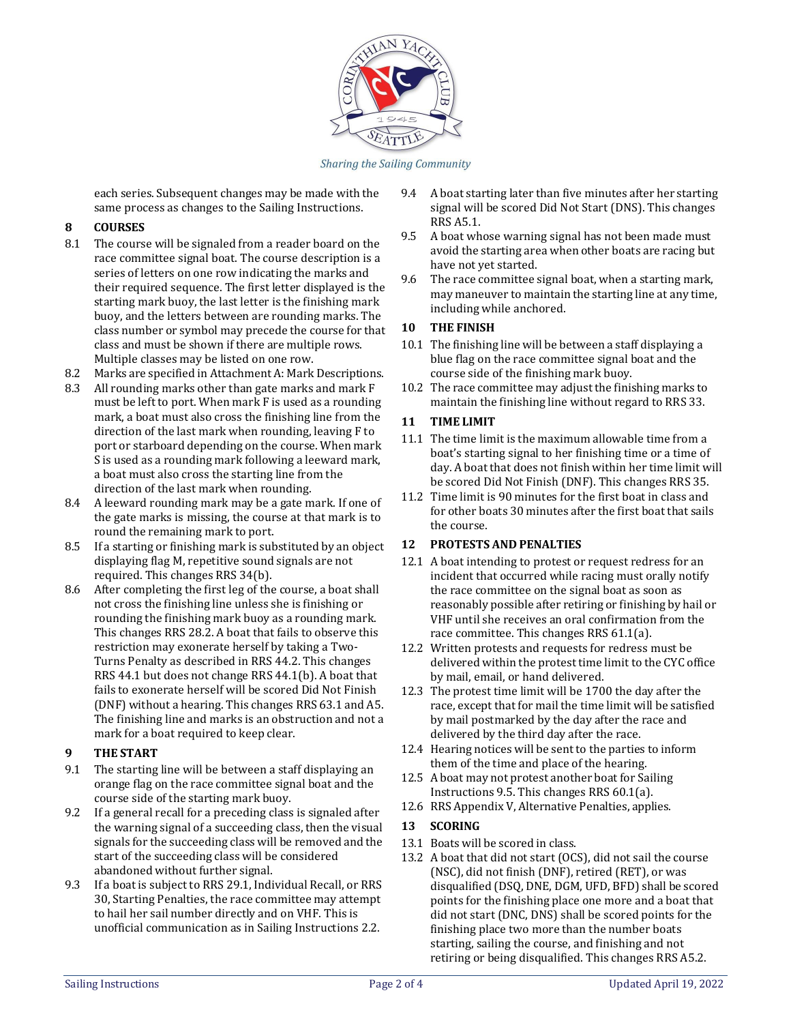

Sharing the Sailing Community

each series. Subsequent changes may be made with the same process as changes to the Sailing Instructions.

# **8 COURSES**

- 8.1 The course will be signaled from a reader board on the race committee signal boat. The course description is a series of letters on one row indicating the marks and their required sequence. The first letter displayed is the starting mark buoy, the last letter is the finishing mark buoy, and the letters between are rounding marks. The class number or symbol may precede the course for that class and must be shown if there are multiple rows. Multiple classes may be listed on one row.
- 8.2 Marks are specified in Attachment A: Mark Descriptions.
- 8.3 All rounding marks other than gate marks and mark F must be left to port. When mark F is used as a rounding mark, a boat must also cross the finishing line from the direction of the last mark when rounding, leaving F to port or starboard depending on the course. When mark S is used as a rounding mark following a leeward mark, a boat must also cross the starting line from the direction of the last mark when rounding.
- 8.4 A leeward rounding mark may be a gate mark. If one of the gate marks is missing, the course at that mark is to round the remaining mark to port.
- 8.5 If a starting or finishing mark is substituted by an object displaying flag M, repetitive sound signals are not required. This changes RRS 34(b).
- 8.6 After completing the first leg of the course, a boat shall not cross the finishing line unless she is finishing or rounding the finishing mark buoy as a rounding mark. This changes RRS 28.2. A boat that fails to observe this restriction may exonerate herself by taking a Two-Turns Penalty as described in RRS 44.2. This changes RRS 44.1 but does not change RRS 44.1(b). A boat that fails to exonerate herself will be scored Did Not Finish (DNF) without a hearing. This changes RRS 63.1 and A5. The finishing line and marks is an obstruction and not a mark for a boat required to keep clear.

# **9 THE START**

- 9.1 The starting line will be between a staff displaying an orange flag on the race committee signal boat and the course side of the starting mark buoy.
- 9.2 If a general recall for a preceding class is signaled after the warning signal of a succeeding class, then the visual signals for the succeeding class will be removed and the start of the succeeding class will be considered abandoned without further signal.
- 9.3 If a boat is subject to RRS 29.1, Individual Recall, or RRS 30, Starting Penalties, the race committee may attempt to hail her sail number directly and on VHF. This is unofficial communication as in Sailing Instructions 2.2.
- 9.4 A boat starting later than five minutes after her starting signal will be scored Did Not Start (DNS). This changes RRS A5.1.
- 9.5 A boat whose warning signal has not been made must avoid the starting area when other boats are racing but have not yet started.
- 9.6 The race committee signal boat, when a starting mark, may maneuver to maintain the starting line at any time, including while anchored.

# **10 THE FINISH**

- 10.1 The finishing line will be between a staff displaying a blue flag on the race committee signal boat and the course side of the finishing mark buoy.
- 10.2 The race committee may adjust the finishing marks to maintain the finishing line without regard to RRS 33.

# **11 TIME LIMIT**

- 11.1 The time limit is the maximum allowable time from a boat's starting signal to her finishing time or a time of day. A boat that does not finish within her time limit will be scored Did Not Finish (DNF). This changes RRS 35.
- 11.2 Time limit is 90 minutes for the first boat in class and for other boats 30 minutes after the first boat that sails the course.

# **12 PROTESTS AND PENALTIES**

- 12.1 A boat intending to protest or request redress for an incident that occurred while racing must orally notify the race committee on the signal boat as soon as reasonably possible after retiring or finishing by hail or VHF until she receives an oral confirmation from the race committee. This changes RRS 61.1(a).
- 12.2 Written protests and requests for redress must be delivered within the protest time limit to the CYC office by mail, email, or hand delivered.
- 12.3 The protest time limit will be 1700 the day after the race, except that for mail the time limit will be satisfied by mail postmarked by the day after the race and delivered by the third day after the race.
- 12.4 Hearing notices will be sent to the parties to inform them of the time and place of the hearing.
- 12.5 A boat may not protest another boat for Sailing Instructions 9.5. This changes RRS 60.1(a).
- 12.6 RRS Appendix V, Alternative Penalties, applies.

# **13 SCORING**

- 13.1 Boats will be scored in class.
- 13.2 A boat that did not start (OCS), did not sail the course (NSC), did not finish (DNF), retired (RET), or was disqualified (DSQ, DNE, DGM, UFD, BFD) shall be scored points for the finishing place one more and a boat that did not start (DNC, DNS) shall be scored points for the finishing place two more than the number boats starting, sailing the course, and finishing and not retiring or being disqualified. This changes RRS A5.2.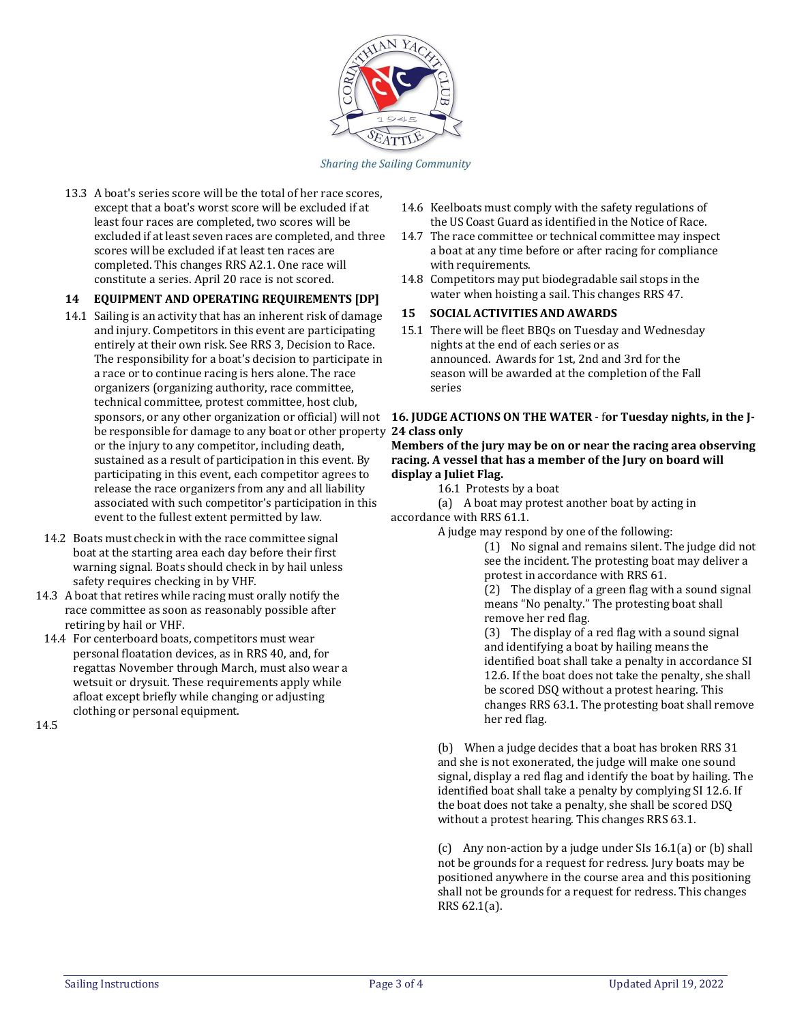

Sharing the Sailing Community

13.3 A boat's series score will be the total of her race scores, except that a boat's worst score will be excluded if at least four races are completed, two scores will be excluded if at least seven races are completed, and three scores will be excluded if at least ten races are completed. This changes RRS A2.1. One race will constitute a series. April 20 race is not scored.

# **14 EQUIPMENT AND OPERATING REQUIREMENTS [DP]**

- 14.1 Sailing is an activity that has an inherent risk of damage and injury. Competitors in this event are participating entirely at their own risk. See RRS 3, Decision to Race. The responsibility for a boat's decision to participate in a race or to continue racing is hers alone. The race organizers (organizing authority, race committee, technical committee, protest committee, host club, be responsible for damage to any boat or other property **24 class only** or the injury to any competitor, including death, sustained as a result of participation in this event. By participating in this event, each competitor agrees to release the race organizers from any and all liability associated with such competitor's participation in this event to the fullest extent permitted by law.
- 14.2 Boats must check in with the race committee signal boat at the starting area each day before their first warning signal. Boats should check in by hail unless safety requires checking in by VHF.
- 14.3 A boat that retires while racing must orally notify the race committee as soon as reasonably possible after retiring by hail or VHF.
- 14.4 For centerboard boats, competitors must wear personal floatation devices, as in RRS 40, and, for regattas November through March, must also wear a wetsuit or drysuit. These requirements apply while afloat except briefly while changing or adjusting clothing or personal equipment.

14.5

- 14.6 Keelboats must comply with the safety regulations of the US Coast Guard as identified in the Notice of Race.
- 14.7 The race committee or technical committee may inspect a boat at any time before or after racing for compliance with requirements.
- 14.8 Competitors may put biodegradable sail stops in the water when hoisting a sail. This changes RRS 47.

#### **15 SOCIAL ACTIVITIES AND AWARDS**

15.1 There will be fleet BBQs on Tuesday and Wednesday nights at the end of each series or as announced. Awards for 1st, 2nd and 3rd for the season will be awarded at the completion of the Fall series

# sponsors, or any other organization or official) will not **16. JUDGE ACTIONS ON THE WATER** - f**or Tuesday nights, in the J-**

**Members of the jury may be on or near the racing area observing racing. A vessel that has a member of the Jury on board will display a Juliet Flag.**

16.1 Protests by a boat

(a) A boat may protest another boat by acting in accordance with RRS 61.1.

A judge may respond by one of the following:

(1) No signal and remains silent. The judge did not see the incident. The protesting boat may deliver a protest in accordance with RRS 61.

(2) The display of a green flag with a sound signal means "No penalty." The protesting boat shall remove her red flag.

(3) The display of a red flag with a sound signal and identifying a boat by hailing means the identified boat shall take a penalty in accordance SI 12.6. If the boat does not take the penalty, she shall be scored DSQ without a protest hearing. This changes RRS 63.1. The protesting boat shall remove her red flag.

(b) When a judge decides that a boat has broken RRS 31 and she is not exonerated, the judge will make one sound signal, display a red flag and identify the boat by hailing. The identified boat shall take a penalty by complying SI 12.6. If the boat does not take a penalty, she shall be scored DSQ without a protest hearing. This changes RRS 63.1.

(c) Any non-action by a judge under SIs 16.1(a) or (b) shall not be grounds for a request for redress. Jury boats may be positioned anywhere in the course area and this positioning shall not be grounds for a request for redress. This changes RRS 62.1(a).